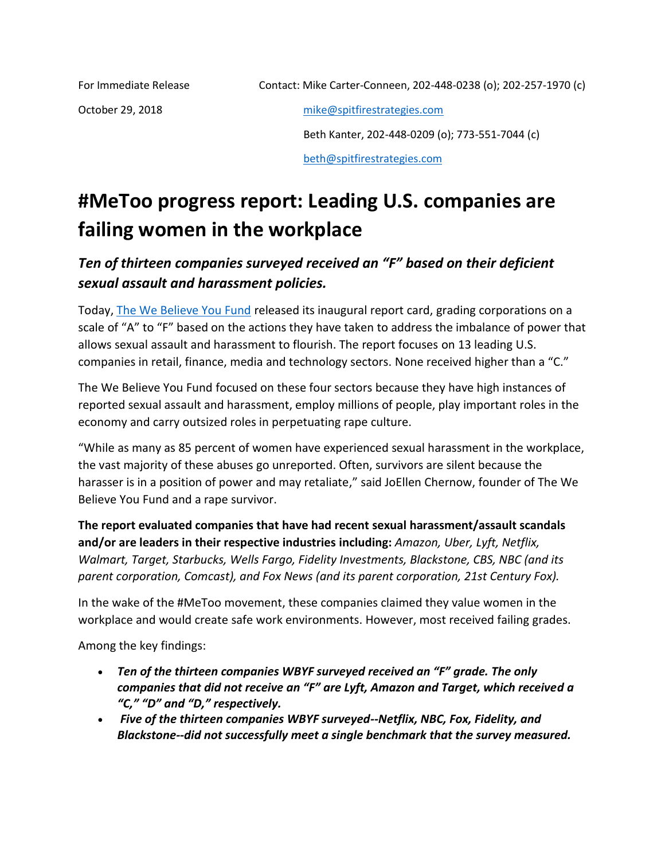October 29, 2018 [mike@spitfirestrategies.com](mailto:mike@spitfirestrategies.com)

 Beth Kanter, 202-448-0209 (o); 773-551-7044 (c) [beth@spitfirestrategies.com](mailto:beth@spitfirestrategies.com)

## **#MeToo progress report: Leading U.S. companies are failing women in the workplace**

## *Ten of thirteen companies surveyed received an "F" based on their deficient sexual assault and harassment policies.*

Today, [The We Believe You Fund](https://webelieveyoufund.org/) released its inaugural report card, grading corporations on a scale of "A" to "F" based on the actions they have taken to address the imbalance of power that allows sexual assault and harassment to flourish. The report focuses on 13 leading U.S. companies in retail, finance, media and technology sectors. None received higher than a "C."

The We Believe You Fund focused on these four sectors because they have high instances of reported sexual assault and harassment, employ millions of people, play important roles in the economy and carry outsized roles in perpetuating rape culture.

"While as many as 85 percent of women have experienced sexual harassment in the workplace, the vast majority of these abuses go unreported. Often, survivors are silent because the harasser is in a position of power and may retaliate," said JoEllen Chernow, founder of The We Believe You Fund and a rape survivor.

**The report evaluated companies that have had recent sexual harassment/assault scandals and/or are leaders in their respective industries including:** *Amazon, Uber, Lyft, Netflix, Walmart, Target, Starbucks, Wells Fargo, Fidelity Investments, Blackstone, CBS, NBC (and its parent corporation, Comcast), and Fox News (and its parent corporation, 21st Century Fox).*

In the wake of the #MeToo movement, these companies claimed they value women in the workplace and would create safe work environments. However, most received failing grades.

Among the key findings:

- *Ten of the thirteen companies WBYF surveyed received an "F" grade. The only companies that did not receive an "F" are Lyft, Amazon and Target, which received a "C," "D" and "D," respectively.*
- *Five of the thirteen companies WBYF surveyed--Netflix, NBC, Fox, Fidelity, and Blackstone--did not successfully meet a single benchmark that the survey measured.*